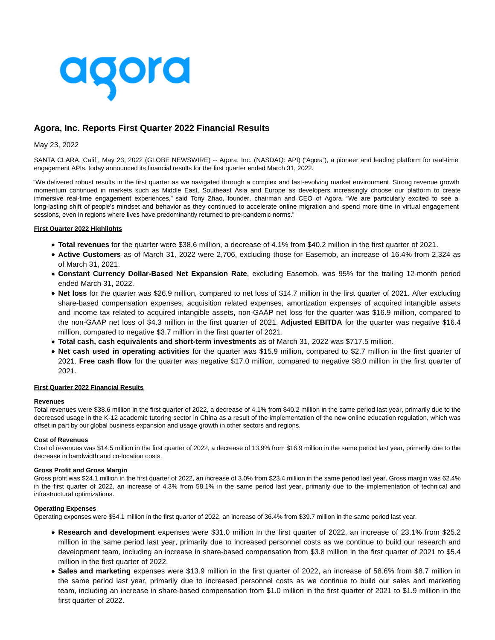

# **Agora, Inc. Reports First Quarter 2022 Financial Results**

# May 23, 2022

SANTA CLARA, Calif., May 23, 2022 (GLOBE NEWSWIRE) -- Agora, Inc. (NASDAQ: API) ("Agora"), a pioneer and leading platform for real-time engagement APIs, today announced its financial results for the first quarter ended March 31, 2022.

"We delivered robust results in the first quarter as we navigated through a complex and fast-evolving market environment. Strong revenue growth momentum continued in markets such as Middle East, Southeast Asia and Europe as developers increasingly choose our platform to create immersive real-time engagement experiences," said Tony Zhao, founder, chairman and CEO of Agora. "We are particularly excited to see a long-lasting shift of people's mindset and behavior as they continued to accelerate online migration and spend more time in virtual engagement sessions, even in regions where lives have predominantly returned to pre-pandemic norms."

# **First Quarter 2022 Highlights**

- **Total revenues** for the quarter were \$38.6 million, a decrease of 4.1% from \$40.2 million in the first quarter of 2021.
- **Active Customers** as of March 31, 2022 were 2,706, excluding those for Easemob, an increase of 16.4% from 2,324 as of March 31, 2021.
- **Constant Currency Dollar-Based Net Expansion Rate**, excluding Easemob, was 95% for the trailing 12-month period ended March 31, 2022.
- **Net loss** for the quarter was \$26.9 million, compared to net loss of \$14.7 million in the first quarter of 2021. After excluding share-based compensation expenses, acquisition related expenses, amortization expenses of acquired intangible assets and income tax related to acquired intangible assets, non-GAAP net loss for the quarter was \$16.9 million, compared to the non-GAAP net loss of \$4.3 million in the first quarter of 2021. **Adjusted EBITDA** for the quarter was negative \$16.4 million, compared to negative \$3.7 million in the first quarter of 2021.
- **Total cash, cash equivalents and short-term investments** as of March 31, 2022 was \$717.5 million.
- **Net cash used in operating activities** for the quarter was \$15.9 million, compared to \$2.7 million in the first quarter of 2021. **Free cash flow** for the quarter was negative \$17.0 million, compared to negative \$8.0 million in the first quarter of 2021.

# **First Quarter 2022 Financial Results**

#### **Revenues**

Total revenues were \$38.6 million in the first quarter of 2022, a decrease of 4.1% from \$40.2 million in the same period last year, primarily due to the decreased usage in the K-12 academic tutoring sector in China as a result of the implementation of the new online education regulation, which was offset in part by our global business expansion and usage growth in other sectors and regions.

## **Cost of Revenues**

Cost of revenues was \$14.5 million in the first quarter of 2022, a decrease of 13.9% from \$16.9 million in the same period last year, primarily due to the decrease in bandwidth and co-location costs.

## **Gross Profit and Gross Margin**

Gross profit was \$24.1 million in the first quarter of 2022, an increase of 3.0% from \$23.4 million in the same period last year. Gross margin was 62.4% in the first quarter of 2022, an increase of 4.3% from 58.1% in the same period last year, primarily due to the implementation of technical and infrastructural optimizations.

# **Operating Expenses**

Operating expenses were \$54.1 million in the first quarter of 2022, an increase of 36.4% from \$39.7 million in the same period last year.

- **Research and development** expenses were \$31.0 million in the first quarter of 2022, an increase of 23.1% from \$25.2 million in the same period last year, primarily due to increased personnel costs as we continue to build our research and development team, including an increase in share-based compensation from \$3.8 million in the first quarter of 2021 to \$5.4 million in the first quarter of 2022.
- **Sales and marketing** expenses were \$13.9 million in the first quarter of 2022, an increase of 58.6% from \$8.7 million in the same period last year, primarily due to increased personnel costs as we continue to build our sales and marketing team, including an increase in share-based compensation from \$1.0 million in the first quarter of 2021 to \$1.9 million in the first quarter of 2022.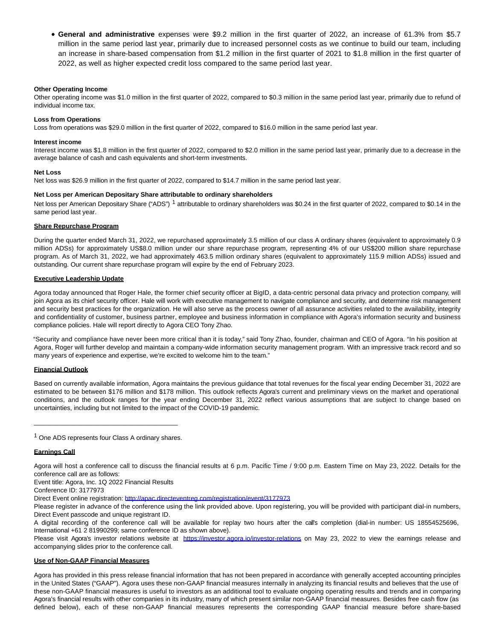**General and administrative** expenses were \$9.2 million in the first quarter of 2022, an increase of 61.3% from \$5.7 million in the same period last year, primarily due to increased personnel costs as we continue to build our team, including an increase in share-based compensation from \$1.2 million in the first quarter of 2021 to \$1.8 million in the first quarter of 2022, as well as higher expected credit loss compared to the same period last year.

# **Other Operating Income**

Other operating income was \$1.0 million in the first quarter of 2022, compared to \$0.3 million in the same period last year, primarily due to refund of individual income tax.

## **Loss from Operations**

Loss from operations was \$29.0 million in the first quarter of 2022, compared to \$16.0 million in the same period last year.

#### **Interest income**

Interest income was \$1.8 million in the first quarter of 2022, compared to \$2.0 million in the same period last year, primarily due to a decrease in the average balance of cash and cash equivalents and short-term investments.

#### **Net Loss**

Net loss was \$26.9 million in the first quarter of 2022, compared to \$14.7 million in the same period last year.

# **Net Loss per American Depositary Share attributable to ordinary shareholders**

Net loss per American Depositary Share ("ADS")<sup>1</sup> attributable to ordinary shareholders was \$0.24 in the first quarter of 2022, compared to \$0.14 in the same period last year.

# **Share Repurchase Program**

During the quarter ended March 31, 2022, we repurchased approximately 3.5 million of our class A ordinary shares (equivalent to approximately 0.9 million ADSs) for approximately US\$8.0 million under our share repurchase program, representing 4% of our US\$200 million share repurchase program. As of March 31, 2022, we had approximately 463.5 million ordinary shares (equivalent to approximately 115.9 million ADSs) issued and outstanding. Our current share repurchase program will expire by the end of February 2023.

# **Executive Leadership Update**

Agora today announced that Roger Hale, the former chief security officer at BigID, a data-centric personal data privacy and protection company, will join Agora as its chief security officer. Hale will work with executive management to navigate compliance and security, and determine risk management and security best practices for the organization. He will also serve as the process owner of all assurance activities related to the availability, integrity and confidentiality of customer, business partner, employee and business information in compliance with Agora's information security and business compliance policies. Hale will report directly to Agora CEO Tony Zhao.

"Security and compliance have never been more critical than it is today," said Tony Zhao, founder, chairman and CEO of Agora. "In his position at Agora, Roger will further develop and maintain a company-wide information security management program. With an impressive track record and so many years of experience and expertise, we're excited to welcome him to the team."

# **Financial Outlook**

Based on currently available information, Agora maintains the previous guidance that total revenues for the fiscal year ending December 31, 2022 are estimated to be between \$176 million and \$178 million. This outlook reflects Agora's current and preliminary views on the market and operational conditions, and the outlook ranges for the year ending December 31, 2022 reflect various assumptions that are subject to change based on uncertainties, including but not limited to the impact of the COVID-19 pandemic.

\_\_\_\_\_\_\_\_\_\_\_\_\_\_\_\_\_\_\_\_\_\_\_\_\_\_\_\_\_\_\_\_\_\_\_\_\_\_\_\_ 1 One ADS represents four Class A ordinary shares.

# **Earnings Call**

Agora will host a conference call to discuss the financial results at 6 p.m. Pacific Time / 9:00 p.m. Eastern Time on May 23, 2022. Details for the conference call are as follows:

Event title: Agora, Inc. 1Q 2022 Financial Results

Conference ID: 3177973

Direct Event online registration[: http://apac.directeventreg.com/registration/event/3177973](https://www.globenewswire.com/Tracker?data=9fgIhyo3r04YmFdxnCfXoDatUOfsKEqdtfLBH9ZQxu93-OHM7AgbcJzaCwX1X-m-xBWhgijo0C09OJrDhMalLj35IVAet8xxGxOO3P6FnyNOgSbdvdseDZ9IxWjyLjDQYGnskIc3IqV49YWq_wqxsFYPc-9I_X-Fn9_enLwUKrdxwb-n3XyD3cmS_PArAftH)

Please register in advance of the conference using the link provided above. Upon registering, you will be provided with participant dial-in numbers, Direct Event passcode and unique registrant ID.

A digital recording of the conference call will be available for replay two hours after the call's completion (dial-in number: US 18554525696, International +61 2 81990299; same conference ID as shown above).

Please visit Agora's investor relations website at https://investor.agora.jo/investor-relations on May 23, 2022 to view the earnings release and accompanying slides prior to the conference call.

## **Use of Non-GAAP Financial Measures**

Agora has provided in this press release financial information that has not been prepared in accordance with generally accepted accounting principles in the United States ("GAAP"). Agora uses these non-GAAP financial measures internally in analyzing its financial results and believes that the use of these non-GAAP financial measures is useful to investors as an additional tool to evaluate ongoing operating results and trends and in comparing Agora's financial results with other companies in its industry, many of which present similar non-GAAP financial measures. Besides free cash flow (as defined below), each of these non-GAAP financial measures represents the corresponding GAAP financial measure before share-based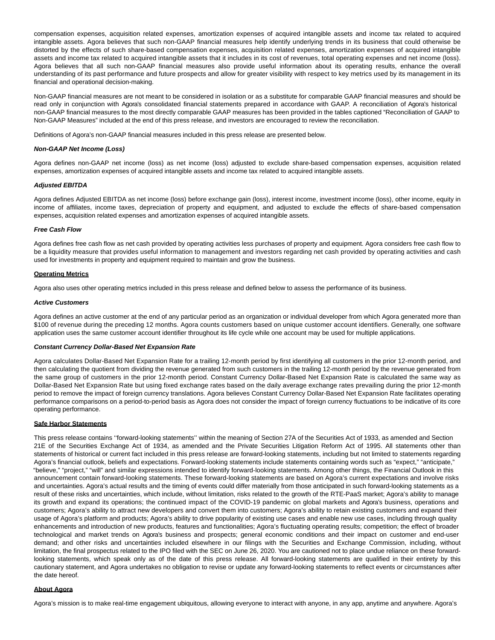compensation expenses, acquisition related expenses, amortization expenses of acquired intangible assets and income tax related to acquired intangible assets. Agora believes that such non-GAAP financial measures help identify underlying trends in its business that could otherwise be distorted by the effects of such share-based compensation expenses, acquisition related expenses, amortization expenses of acquired intangible assets and income tax related to acquired intangible assets that it includes in its cost of revenues, total operating expenses and net income (loss). Agora believes that all such non-GAAP financial measures also provide useful information about its operating results, enhance the overall understanding of its past performance and future prospects and allow for greater visibility with respect to key metrics used by its management in its financial and operational decision-making.

Non-GAAP financial measures are not meant to be considered in isolation or as a substitute for comparable GAAP financial measures and should be read only in conjunction with Agora's consolidated financial statements prepared in accordance with GAAP. A reconciliation of Agora's historical non-GAAP financial measures to the most directly comparable GAAP measures has been provided in the tables captioned "Reconciliation of GAAP to Non-GAAP Measures" included at the end of this press release, and investors are encouraged to review the reconciliation.

Definitions of Agora's non-GAAP financial measures included in this press release are presented below.

## **Non-GAAP Net Income (Loss)**

Agora defines non-GAAP net income (loss) as net income (loss) adjusted to exclude share-based compensation expenses, acquisition related expenses, amortization expenses of acquired intangible assets and income tax related to acquired intangible assets.

# **Adjusted EBITDA**

Agora defines Adjusted EBITDA as net income (loss) before exchange gain (loss), interest income, investment income (loss), other income, equity in income of affiliates, income taxes, depreciation of property and equipment, and adjusted to exclude the effects of share-based compensation expenses, acquisition related expenses and amortization expenses of acquired intangible assets.

### **Free Cash Flow**

Agora defines free cash flow as net cash provided by operating activities less purchases of property and equipment. Agora considers free cash flow to be a liquidity measure that provides useful information to management and investors regarding net cash provided by operating activities and cash used for investments in property and equipment required to maintain and grow the business.

#### **Operating Metrics**

Agora also uses other operating metrics included in this press release and defined below to assess the performance of its business.

#### **Active Customers**

Agora defines an active customer at the end of any particular period as an organization or individual developer from which Agora generated more than \$100 of revenue during the preceding 12 months. Agora counts customers based on unique customer account identifiers. Generally, one software application uses the same customer account identifier throughout its life cycle while one account may be used for multiple applications.

## **Constant Currency Dollar-Based Net Expansion Rate**

Agora calculates Dollar-Based Net Expansion Rate for a trailing 12-month period by first identifying all customers in the prior 12-month period, and then calculating the quotient from dividing the revenue generated from such customers in the trailing 12-month period by the revenue generated from the same group of customers in the prior 12-month period. Constant Currency Dollar-Based Net Expansion Rate is calculated the same way as Dollar-Based Net Expansion Rate but using fixed exchange rates based on the daily average exchange rates prevailing during the prior 12-month period to remove the impact of foreign currency translations. Agora believes Constant Currency Dollar-Based Net Expansion Rate facilitates operating performance comparisons on a period-to-period basis as Agora does not consider the impact of foreign currency fluctuations to be indicative of its core operating performance.

#### **Safe Harbor Statements**

This press release contains ''forward-looking statements'' within the meaning of Section 27A of the Securities Act of 1933, as amended and Section 21E of the Securities Exchange Act of 1934, as amended and the Private Securities Litigation Reform Act of 1995. All statements other than statements of historical or current fact included in this press release are forward-looking statements, including but not limited to statements regarding Agora's financial outlook, beliefs and expectations. Forward-looking statements include statements containing words such as "expect," "anticipate," "believe," "project," "will" and similar expressions intended to identify forward-looking statements. Among other things, the Financial Outlook in this announcement contain forward-looking statements. These forward-looking statements are based on Agora's current expectations and involve risks and uncertainties. Agora's actual results and the timing of events could differ materially from those anticipated in such forward-looking statements as a result of these risks and uncertainties, which include, without limitation, risks related to the growth of the RTE-PaaS market; Agora's ability to manage its growth and expand its operations; the continued impact of the COVID-19 pandemic on global markets and Agora's business, operations and customers; Agora's ability to attract new developers and convert them into customers; Agora's ability to retain existing customers and expand their usage of Agora's platform and products; Agora's ability to drive popularity of existing use cases and enable new use cases, including through quality enhancements and introduction of new products, features and functionalities; Agora's fluctuating operating results; competition; the effect of broader technological and market trends on Agora's business and prospects; general economic conditions and their impact on customer and end-user demand; and other risks and uncertainties included elsewhere in our filings with the Securities and Exchange Commission, including, without limitation, the final prospectus related to the IPO filed with the SEC on June 26, 2020. You are cautioned not to place undue reliance on these forwardlooking statements, which speak only as of the date of this press release. All forward-looking statements are qualified in their entirety by this cautionary statement, and Agora undertakes no obligation to revise or update any forward-looking statements to reflect events or circumstances after the date hereof.

#### **About Agora**

Agora's mission is to make real-time engagement ubiquitous, allowing everyone to interact with anyone, in any app, anytime and anywhere. Agora's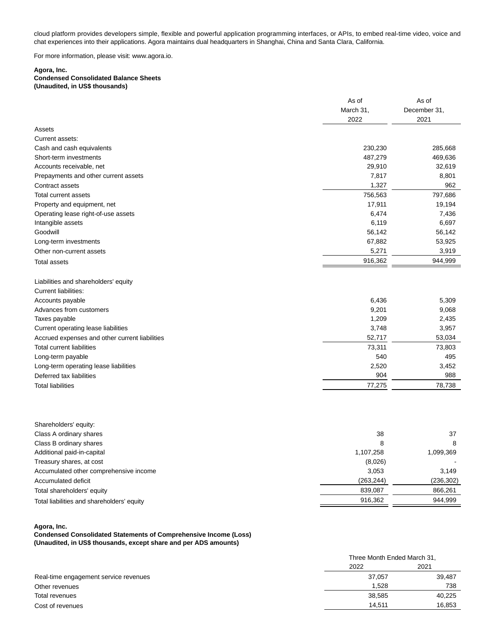cloud platform provides developers simple, flexible and powerful application programming interfaces, or APIs, to embed real-time video, voice and chat experiences into their applications. Agora maintains dual headquarters in Shanghai, China and Santa Clara, California.

For more information, please visit: www.agora.io.

## **Agora, Inc.**

# **Condensed Consolidated Balance Sheets (Unaudited, in US\$ thousands)**

|                                                | As of     | As of        |
|------------------------------------------------|-----------|--------------|
|                                                | March 31, | December 31, |
|                                                | 2022      | 2021         |
| Assets                                         |           |              |
| Current assets:                                |           |              |
| Cash and cash equivalents                      | 230,230   | 285,668      |
| Short-term investments                         | 487,279   | 469,636      |
| Accounts receivable, net                       | 29,910    | 32,619       |
| Prepayments and other current assets           | 7,817     | 8,801        |
| Contract assets                                | 1,327     | 962          |
| Total current assets                           | 756,563   | 797,686      |
| Property and equipment, net                    | 17,911    | 19,194       |
| Operating lease right-of-use assets            | 6,474     | 7,436        |
| Intangible assets                              | 6,119     | 6,697        |
| Goodwill                                       | 56,142    | 56,142       |
| Long-term investments                          | 67,882    | 53,925       |
| Other non-current assets                       | 5,271     | 3,919        |
| <b>Total assets</b>                            | 916,362   | 944,999      |
| Liabilities and shareholders' equity           |           |              |
| <b>Current liabilities:</b>                    |           |              |
| Accounts payable                               | 6,436     | 5,309        |
| Advances from customers                        | 9,201     | 9,068        |
| Taxes payable                                  | 1,209     | 2,435        |
| Current operating lease liabilities            | 3,748     | 3,957        |
| Accrued expenses and other current liabilities | 52,717    | 53,034       |
| <b>Total current liabilities</b>               | 73,311    | 73,803       |
| Long-term payable                              | 540       | 495          |
| Long-term operating lease liabilities          | 2,520     | 3,452        |
| Deferred tax liabilities                       | 904       | 988          |
| <b>Total liabilities</b>                       | 77,275    | 78,738       |
|                                                |           |              |

| Shareholders' equity:                      |           |            |
|--------------------------------------------|-----------|------------|
| Class A ordinary shares                    | 38        | 37         |
| Class B ordinary shares                    | 8         |            |
| Additional paid-in-capital                 | 1,107,258 | 1,099,369  |
| Treasury shares, at cost                   | (8,026)   |            |
| Accumulated other comprehensive income     | 3,053     | 3.149      |
| Accumulated deficit                        | (263,244) | (236, 302) |
| Total shareholders' equity                 | 839.087   | 866,261    |
| Total liabilities and shareholders' equity | 916.362   | 944,999    |

**Agora, Inc.**

**Condensed Consolidated Statements of Comprehensive Income (Loss) (Unaudited, in US\$ thousands, except share and per ADS amounts)**

|                                       |        | Three Month Ended March 31, |  |
|---------------------------------------|--------|-----------------------------|--|
|                                       | 2022   | 2021                        |  |
| Real-time engagement service revenues | 37.057 | 39,487                      |  |
| Other revenues                        | 1.528  | 738                         |  |
| Total revenues                        | 38,585 | 40,225                      |  |
| Cost of revenues                      | 14.511 | 16,853                      |  |
|                                       |        |                             |  |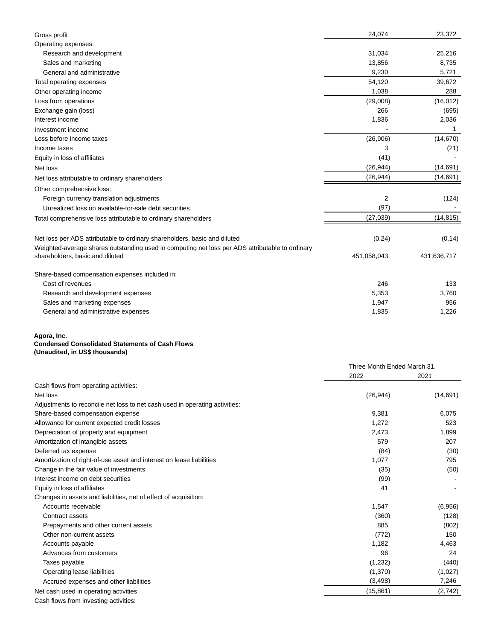| Gross profit                                                                                                                       | 24,074      | 23,372      |
|------------------------------------------------------------------------------------------------------------------------------------|-------------|-------------|
| Operating expenses:                                                                                                                |             |             |
| Research and development                                                                                                           | 31,034      | 25,216      |
| Sales and marketing                                                                                                                | 13,856      | 8,735       |
| General and administrative                                                                                                         | 9,230       | 5,721       |
| Total operating expenses                                                                                                           | 54,120      | 39,672      |
| Other operating income                                                                                                             | 1,038       | 288         |
| Loss from operations                                                                                                               | (29,008)    | (16, 012)   |
| Exchange gain (loss)                                                                                                               | 266         | (695)       |
| Interest income                                                                                                                    | 1,836       | 2,036       |
| Investment income                                                                                                                  |             | 1           |
| Loss before income taxes                                                                                                           | (26,906)    | (14, 670)   |
| Income taxes                                                                                                                       | 3           | (21)        |
| Equity in loss of affiliates                                                                                                       | (41)        |             |
| Net loss                                                                                                                           | (26, 944)   | (14, 691)   |
| Net loss attributable to ordinary shareholders                                                                                     | (26, 944)   | (14, 691)   |
| Other comprehensive loss:                                                                                                          |             |             |
| Foreign currency translation adjustments                                                                                           | 2           | (124)       |
| Unrealized loss on available-for-sale debt securities                                                                              | (97)        |             |
| Total comprehensive loss attributable to ordinary shareholders                                                                     | (27, 039)   | (14, 815)   |
| Net loss per ADS attributable to ordinary shareholders, basic and diluted                                                          | (0.24)      | (0.14)      |
| Weighted-average shares outstanding used in computing net loss per ADS attributable to ordinary<br>shareholders, basic and diluted | 451,058,043 | 431,636,717 |
| Share-based compensation expenses included in:                                                                                     |             |             |
| Cost of revenues                                                                                                                   | 246         | 133         |
| Research and development expenses                                                                                                  | 5,353       | 3,760       |
| Sales and marketing expenses                                                                                                       | 1,947       | 956         |
| General and administrative expenses                                                                                                | 1,835       | 1,226       |

#### **Agora, Inc.**

# **Condensed Consolidated Statements of Cash Flows**

**(Unaudited, in US\$ thousands)**

|                                                                             | Three Month Ended March 31, |           |
|-----------------------------------------------------------------------------|-----------------------------|-----------|
|                                                                             | 2022                        | 2021      |
| Cash flows from operating activities:                                       |                             |           |
| Net loss                                                                    | (26, 944)                   | (14, 691) |
| Adjustments to reconcile net loss to net cash used in operating activities: |                             |           |
| Share-based compensation expense                                            | 9,381                       | 6,075     |
| Allowance for current expected credit losses                                | 1,272                       | 523       |
| Depreciation of property and equipment                                      | 2,473                       | 1,899     |
| Amortization of intangible assets                                           | 579                         | 207       |
| Deferred tax expense                                                        | (84)                        | (30)      |
| Amortization of right-of-use asset and interest on lease liabilities        | 1,077                       | 795       |
| Change in the fair value of investments                                     | (35)                        | (50)      |
| Interest income on debt securities                                          | (99)                        |           |
| Equity in loss of affiliates                                                | 41                          |           |
| Changes in assets and liabilities, net of effect of acquisition:            |                             |           |
| Accounts receivable                                                         | 1,547                       | (6,956)   |
| Contract assets                                                             | (360)                       | (128)     |
| Prepayments and other current assets                                        | 885                         | (802)     |
| Other non-current assets                                                    | (772)                       | 150       |
| Accounts payable                                                            | 1,182                       | 4,463     |
| Advances from customers                                                     | 96                          | 24        |
| Taxes payable                                                               | (1, 232)                    | (440)     |
| Operating lease liabilities                                                 | (1,370)                     | (1,027)   |
| Accrued expenses and other liabilities                                      | (3, 498)                    | 7,246     |
| Net cash used in operating activities                                       | (15, 861)                   | (2,742)   |
|                                                                             |                             |           |

Cash flows from investing activities: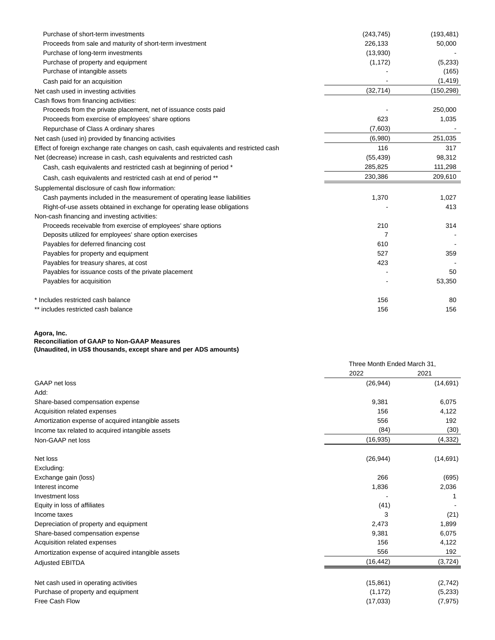| Purchase of short-term investments                                                    | (243, 745) | (193, 481) |
|---------------------------------------------------------------------------------------|------------|------------|
| Proceeds from sale and maturity of short-term investment                              | 226,133    | 50,000     |
| Purchase of long-term investments                                                     | (13,930)   |            |
| Purchase of property and equipment                                                    | (1, 172)   | (5,233)    |
| Purchase of intangible assets                                                         |            | (165)      |
| Cash paid for an acquisition                                                          |            | (1, 419)   |
| Net cash used in investing activities                                                 | (32, 714)  | (150, 298) |
| Cash flows from financing activities:                                                 |            |            |
| Proceeds from the private placement, net of issuance costs paid                       |            | 250,000    |
| Proceeds from exercise of employees' share options                                    | 623        | 1,035      |
| Repurchase of Class A ordinary shares                                                 | (7,603)    |            |
| Net cash (used in) provided by financing activities                                   | (6,980)    | 251,035    |
| Effect of foreign exchange rate changes on cash, cash equivalents and restricted cash | 116        | 317        |
| Net (decrease) increase in cash, cash equivalents and restricted cash                 | (55, 439)  | 98,312     |
| Cash, cash equivalents and restricted cash at beginning of period *                   | 285,825    | 111,298    |
| Cash, cash equivalents and restricted cash at end of period **                        | 230,386    | 209,610    |
| Supplemental disclosure of cash flow information:                                     |            |            |
| Cash payments included in the measurement of operating lease liabilities              | 1,370      | 1,027      |
| Right-of-use assets obtained in exchange for operating lease obligations              |            | 413        |
| Non-cash financing and investing activities:                                          |            |            |
| Proceeds receivable from exercise of employees' share options                         | 210        | 314        |
| Deposits utilized for employees' share option exercises                               | 7          |            |
| Payables for deferred financing cost                                                  | 610        |            |
| Payables for property and equipment                                                   | 527        | 359        |
| Payables for treasury shares, at cost                                                 | 423        |            |
| Payables for issuance costs of the private placement                                  |            | 50         |
| Payables for acquisition                                                              |            | 53,350     |
| * Includes restricted cash balance                                                    | 156        | 80         |
| ** includes restricted cash balance                                                   | 156        | 156        |

#### **Agora, Inc.**

### **Reconciliation of GAAP to Non-GAAP Measures**

**(Unaudited, in US\$ thousands, except share and per ADS amounts)**

|                                                    | Three Month Ended March 31, |           |
|----------------------------------------------------|-----------------------------|-----------|
|                                                    | 2022                        | 2021      |
| GAAP net loss                                      | (26, 944)                   | (14, 691) |
| Add:                                               |                             |           |
| Share-based compensation expense                   | 9,381                       | 6,075     |
| Acquisition related expenses                       | 156                         | 4,122     |
| Amortization expense of acquired intangible assets | 556                         | 192       |
| Income tax related to acquired intangible assets   | (84)                        | (30)      |
| Non-GAAP net loss                                  | (16, 935)                   | (4, 332)  |
| Net loss                                           | (26, 944)                   | (14, 691) |
| Excluding:                                         |                             |           |
| Exchange gain (loss)                               | 266                         | (695)     |
| Interest income                                    | 1,836                       | 2,036     |
| Investment loss                                    |                             |           |
| Equity in loss of affiliates                       | (41)                        |           |
| Income taxes                                       | 3                           | (21)      |
| Depreciation of property and equipment             | 2,473                       | 1,899     |
| Share-based compensation expense                   | 9,381                       | 6,075     |
| Acquisition related expenses                       | 156                         | 4,122     |
| Amortization expense of acquired intangible assets | 556                         | 192       |
| <b>Adjusted EBITDA</b>                             | (16, 442)                   | (3, 724)  |
| Net cash used in operating activities              | (15, 861)                   | (2,742)   |
| Purchase of property and equipment                 | (1, 172)                    | (5,233)   |
| Free Cash Flow                                     | (17,033)                    | (7, 975)  |